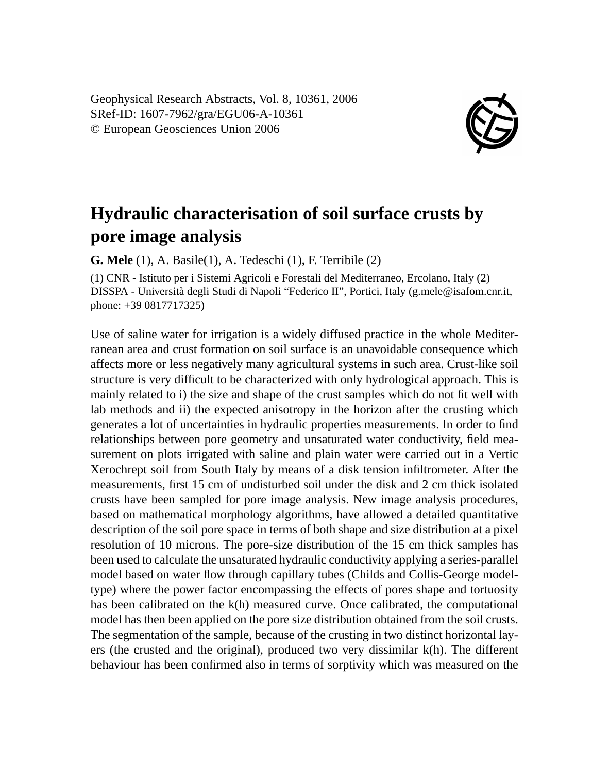Geophysical Research Abstracts, Vol. 8, 10361, 2006 SRef-ID: 1607-7962/gra/EGU06-A-10361 © European Geosciences Union 2006



## **Hydraulic characterisation of soil surface crusts by pore image analysis**

**G. Mele** (1), A. Basile(1), A. Tedeschi (1), F. Terribile (2)

(1) CNR - Istituto per i Sistemi Agricoli e Forestali del Mediterraneo, Ercolano, Italy (2) DISSPA - Università degli Studi di Napoli "Federico II", Portici, Italy (g.mele@isafom.cnr.it, phone: +39 0817717325)

Use of saline water for irrigation is a widely diffused practice in the whole Mediterranean area and crust formation on soil surface is an unavoidable consequence which affects more or less negatively many agricultural systems in such area. Crust-like soil structure is very difficult to be characterized with only hydrological approach. This is mainly related to i) the size and shape of the crust samples which do not fit well with lab methods and ii) the expected anisotropy in the horizon after the crusting which generates a lot of uncertainties in hydraulic properties measurements. In order to find relationships between pore geometry and unsaturated water conductivity, field measurement on plots irrigated with saline and plain water were carried out in a Vertic Xerochrept soil from South Italy by means of a disk tension infiltrometer. After the measurements, first 15 cm of undisturbed soil under the disk and 2 cm thick isolated crusts have been sampled for pore image analysis. New image analysis procedures, based on mathematical morphology algorithms, have allowed a detailed quantitative description of the soil pore space in terms of both shape and size distribution at a pixel resolution of 10 microns. The pore-size distribution of the 15 cm thick samples has been used to calculate the unsaturated hydraulic conductivity applying a series-parallel model based on water flow through capillary tubes (Childs and Collis-George modeltype) where the power factor encompassing the effects of pores shape and tortuosity has been calibrated on the k(h) measured curve. Once calibrated, the computational model has then been applied on the pore size distribution obtained from the soil crusts. The segmentation of the sample, because of the crusting in two distinct horizontal layers (the crusted and the original), produced two very dissimilar k(h). The different behaviour has been confirmed also in terms of sorptivity which was measured on the